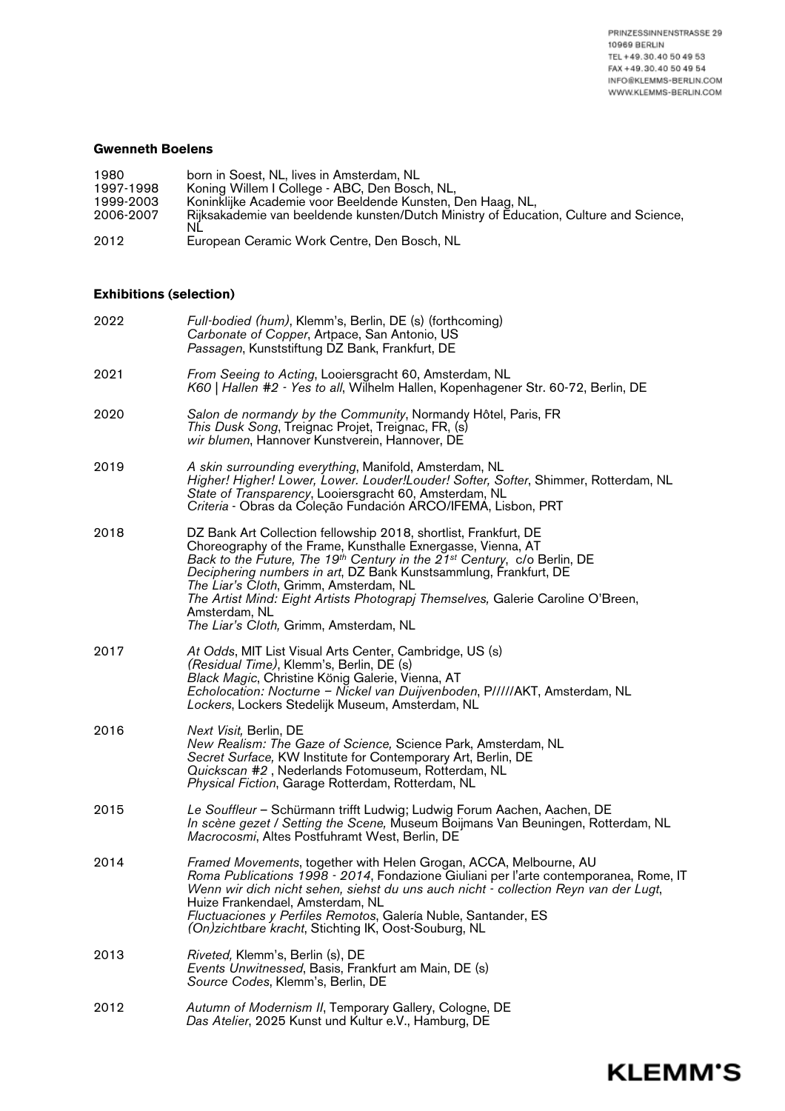**KLEMM'S** 

## **Gwenneth Boelens**

| 1980      | born in Soest, NL, lives in Amsterdam, NL                                             |
|-----------|---------------------------------------------------------------------------------------|
| 1997-1998 | Koning Willem I College - ABC, Den Bosch, NL,                                         |
| 1999-2003 | Koninklijke Academie voor Beeldende Kunsten, Den Haag, NL,                            |
| 2006-2007 | Rijksakademie van beeldende kunsten/Dutch Ministry of Education, Culture and Science, |
|           | NL                                                                                    |
| 2012      | European Ceramic Work Centre, Den Bosch, NL                                           |

## **Exhibitions (selection)**

| 2022 | Full-bodied (hum), Klemm's, Berlin, DE (s) (forthcoming)<br>Carbonate of Copper, Artpace, San Antonio, US<br>Passagen, Kunststiftung DZ Bank, Frankfurt, DE                                                                                                                                                                                                                                                                                                                          |
|------|--------------------------------------------------------------------------------------------------------------------------------------------------------------------------------------------------------------------------------------------------------------------------------------------------------------------------------------------------------------------------------------------------------------------------------------------------------------------------------------|
| 2021 | From Seeing to Acting, Looiersgracht 60, Amsterdam, NL<br>K60   Hallen #2 - Yes to all, Wilhelm Hallen, Kopenhagener Str. 60-72, Berlin, DE                                                                                                                                                                                                                                                                                                                                          |
| 2020 | Salon de normandy by the Community, Normandy Hôtel, Paris, FR<br><i>This Dusk Song</i> , Treignac Projet, Treignac, FR, (s)<br>wir blumen, Hannover Kunstverein, Hannover, DE                                                                                                                                                                                                                                                                                                        |
| 2019 | A skin surrounding everything, Manifold, Amsterdam, NL<br>Higher! Higher! Lower, Lower. Louder!Louder! Softer, Softer, Shimmer, Rotterdam, NL<br>State of Transparency, Looiersgracht 60, Amsterdam, NL<br>Criteria - Obras da Coleção Fundación ARCO/IFEMA, Lisbon, PRT                                                                                                                                                                                                             |
| 2018 | DZ Bank Art Collection fellowship 2018, shortlist, Frankfurt, DE<br>Choreography of the Frame, Kunsthalle Exnergasse, Vienna, AT<br>Back to the Future, The 19th Century in the 21 <sup>st</sup> Century, c/o Berlin, DE<br>Deciphering numbers in art, DZ Bank Kunstsammlung, Frankfurt, DE<br>The Liar's Cloth, Grimm, Amsterdam, NL<br>The Artist Mind: Eight Artists Photograpj Themselves, Galerie Caroline O'Breen,<br>Amsterdam, NL<br>The Liar's Cloth, Grimm, Amsterdam, NL |
| 2017 | At Odds, MIT List Visual Arts Center, Cambridge, US (s)<br>(Residual Time), Klemm's, Berlin, DE (s)<br>Black Magic, Christine König Galerie, Vienna, AT<br>Echolocation: Nocturne - Nickel van Duijvenboden, PIIII/AKT, Amsterdam, NL<br>Lockers, Lockers Stedelijk Museum, Amsterdam, NL                                                                                                                                                                                            |
| 2016 | <i>Next Visit</i> , Berlin, DE<br>New Realism: The Gaze of Science, Science Park, Amsterdam, NL<br>Secret Surface, KW Institute for Contemporary Art, Berlin, DE<br>Quickscan #2, Nederlands Fotomuseum, Rotterdam, NL<br>Physical Fiction, Garage Rotterdam, Rotterdam, NL                                                                                                                                                                                                          |
| 2015 | Le Souffleur - Schürmann trifft Ludwig; Ludwig Forum Aachen, Aachen, DE<br>In scène gezet / Setting the Scene, Museum Boijmans Van Beuningen, Rotterdam, NL<br>Macrocosmi, Altes Postfuhramt West, Berlin, DE                                                                                                                                                                                                                                                                        |
| 2014 | Framed Movements, together with Helen Grogan, ACCA, Melbourne, AU<br>Roma Publications 1998 - 2014, Fondazione Giuliani per l'arte contemporanea, Rome, IT<br>Wenn wir dich nicht sehen, siehst du uns auch nicht - collection Reyn van der Lugt,<br>Huize Frankendael, Amsterdam, NL<br>Fluctuaciones y Perfiles Remotos, Galería Nuble, Santander, ES<br>(On)zichtbare kracht, Stichting IK, Oost-Souburg, NL                                                                      |
| 2013 | <i>Riveted, Klemm's, Berlin (s), DE</i><br>Events Unwitnessed, Basis, Frankfurt am Main, DE (s)<br>Source Codes, Klemm's, Berlin, DE                                                                                                                                                                                                                                                                                                                                                 |
| 2012 | Autumn of Modernism II, Temporary Gallery, Cologne, DE<br>Das Atelier, 2025 Kunst und Kultur e.V., Hamburg, DE                                                                                                                                                                                                                                                                                                                                                                       |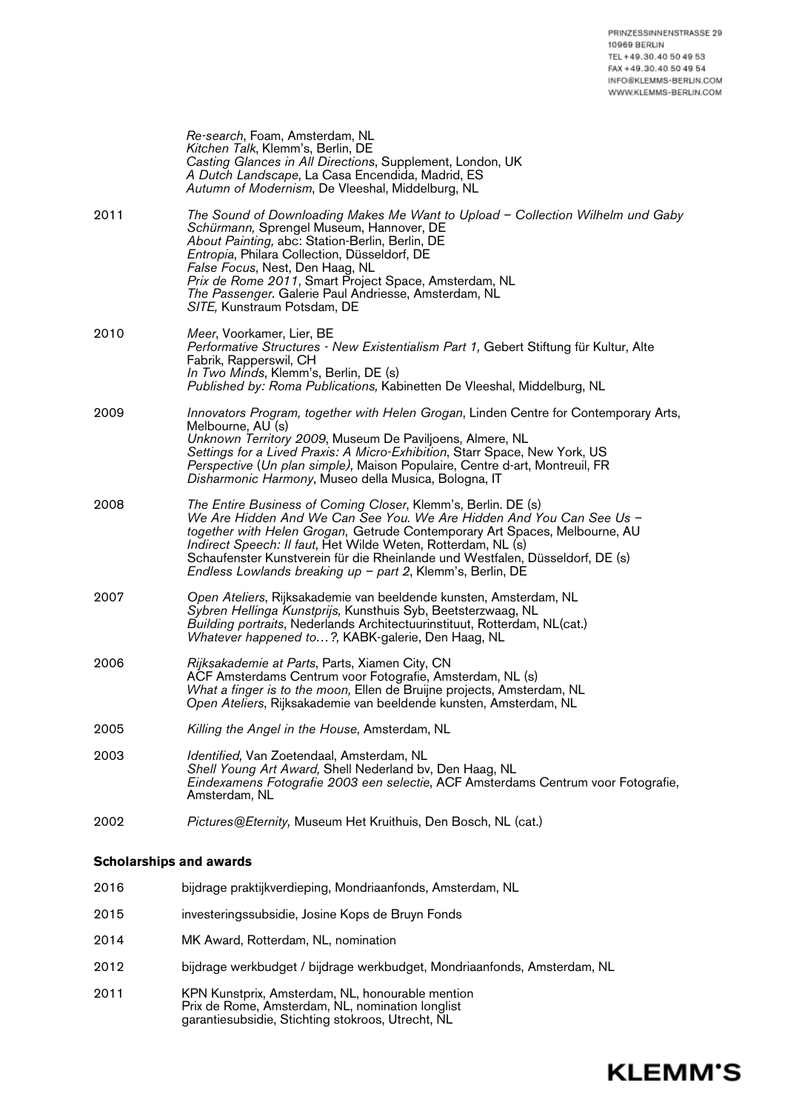**KLEMM'S** 

|      | Re-search, Foam, Amsterdam, NL<br>Kitchen Talk, Klemm's, Berlin, DE<br>Casting Glances in All Directions, Supplement, London, UK<br>A Dutch Landscape, La Casa Encendida, Madrid, ES<br>Autumn of Modernism, De Vleeshal, Middelburg, NL                                                                                                                                                                                             |
|------|--------------------------------------------------------------------------------------------------------------------------------------------------------------------------------------------------------------------------------------------------------------------------------------------------------------------------------------------------------------------------------------------------------------------------------------|
| 2011 | The Sound of Downloading Makes Me Want to Upload - Collection Wilhelm und Gaby<br>Schürmann, Sprengel Museum, Hannover, DE<br>About Painting, abc: Station-Berlin, Berlin, DE<br>Entropia, Philara Collection, Düsseldorf, DE<br>False Focus, Nest, Den Haag, NL<br>Prix de Rome 2011, Smart Project Space, Amsterdam, NL<br>The Passenger. Galerie Paul Andriesse, Amsterdam, NL<br>SITE, Kunstraum Potsdam, DE                     |
| 2010 | Meer, Voorkamer, Lier, BE<br>Performative Structures - New Existentialism Part 1, Gebert Stiftung für Kultur, Alte<br>Fabrik, Rapperswil, CH<br>In Two Minds, Klemm's, Berlin, DE (s)<br>Published by: Roma Publications, Kabinetten De Vleeshal, Middelburg, NL                                                                                                                                                                     |
| 2009 | Innovators Program, together with Helen Grogan, Linden Centre for Contemporary Arts,<br>Melbourne, AU (s)<br>Unknown Territory 2009, Museum De Paviljoens, Almere, NL<br>Settings for a Lived Praxis: A Micro-Exhibition, Starr Space, New York, US<br>Perspective (Un plan simple), Maison Populaire, Centre d-art, Montreuil, FR<br>Disharmonic Harmony, Museo della Musica, Bologna, IT                                           |
| 2008 | The Entire Business of Coming Closer, Klemm's, Berlin. DE (s)<br>We Are Hidden And We Can See You. We Are Hidden And You Can See Us -<br>together with Helen Grogan, Getrude Contemporary Art Spaces, Melbourne, AU<br>Indirect Speech: Il faut, Het Wilde Weten, Rotterdam, NL (s)<br>Schaufenster Kunstverein für die Rheinlande und Westfalen, Düsseldorf, DE (s)<br>Endless Lowlands breaking up $-$ part 2, Klemm's, Berlin, DE |
| 2007 | Open Ateliers, Rijksakademie van beeldende kunsten, Amsterdam, NL<br>Sybren Hellinga Kunstprijs, Kunsthuis Syb, Beetsterzwaag, NL<br>Building portraits, Nederlands Architectuurinstituut, Rotterdam, NL (cat.)<br>Whatever happened to?, KABK-galerie, Den Haag, NL                                                                                                                                                                 |
| 2006 | Rijksakademie at Parts, Parts, Xiamen City, CN<br>ACF Amsterdams Centrum voor Fotografie, Amsterdam, NL (s)<br>What a finger is to the moon, Ellen de Bruijne projects, Amsterdam, NL<br>Open Ateliers, Rijksakademie van beeldende kunsten, Amsterdam, NL                                                                                                                                                                           |
| 2005 | Killing the Angel in the House, Amsterdam, NL                                                                                                                                                                                                                                                                                                                                                                                        |
| 2003 | Identified, Van Zoetendaal, Amsterdam, NL<br>Shell Young Art Award, Shell Nederland bv, Den Haag, NL<br>Eindexamens Fotografie 2003 een selectie, ACF Amsterdams Centrum voor Fotografie,<br>Amsterdam, NL                                                                                                                                                                                                                           |
| 2002 | Pictures@Eternity, Museum Het Kruithuis, Den Bosch, NL (cat.)                                                                                                                                                                                                                                                                                                                                                                        |
|      | <b>Scholarships and awards</b>                                                                                                                                                                                                                                                                                                                                                                                                       |

- 2016 bijdrage praktijkverdieping, Mondriaanfonds, Amsterdam, NL
- 2015 investeringssubsidie, Josine Kops de Bruyn Fonds
- 2014 MK Award, Rotterdam, NL, nomination
- 2012 bijdrage werkbudget / bijdrage werkbudget, Mondriaanfonds, Amsterdam, NL
- 2011 KPN Kunstprix, Amsterdam, NL, honourable mention Prix de Rome, Amsterdam, NL, nomination longlist garantiesubsidie, Stichting stokroos, Utrecht, NL